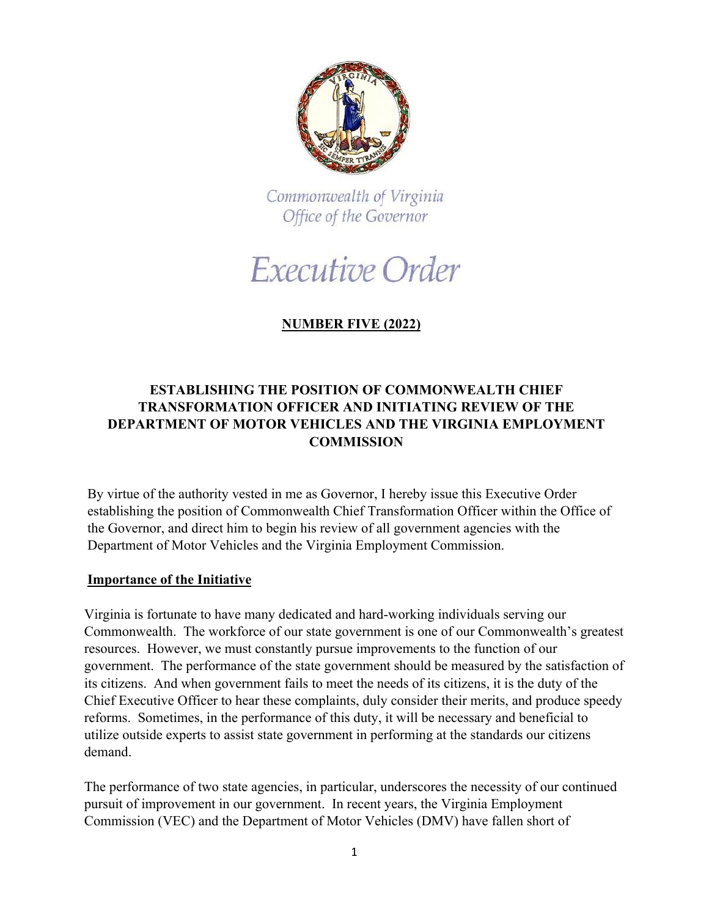

Commonwealth of Virginia Office of the Governor

# Executive Order

## **NUMBER FIVE (2022)**

### **ESTABLISHING THE POSITION OF COMMONWEALTH CHIEF TRANSFORMATION OFFICER AND INITIATING REVIEW OF THE DEPARTMENT OF MOTOR VEHICLES AND THE VIRGINIA EMPLOYMENT COMMISSION**

By virtue of the authority vested in me as Governor, I hereby issue this Executive Order establishing the position of Commonwealth Chief Transformation Officer within the Office of the Governor, and direct him to begin his review of all government agencies with the Department of Motor Vehicles and the Virginia Employment Commission.

#### **Importance of the Initiative**

Virginia is fortunate to have many dedicated and hard-working individuals serving our Commonwealth. The workforce of our state government is one of our Commonwealth's greatest resources. However, we must constantly pursue improvements to the function of our government. The performance of the state government should be measured by the satisfaction of its citizens. And when government fails to meet the needs of its citizens, it is the duty of the Chief Executive Officer to hear these complaints, duly consider their merits, and produce speedy reforms. Sometimes, in the performance of this duty, it will be necessary and beneficial to utilize outside experts to assist state government in performing at the standards our citizens demand.

The performance of two state agencies, in particular, underscores the necessity of our continued pursuit of improvement in our government. In recent years, the Virginia Employment Commission (VEC) and the Department of Motor Vehicles (DMV) have fallen short of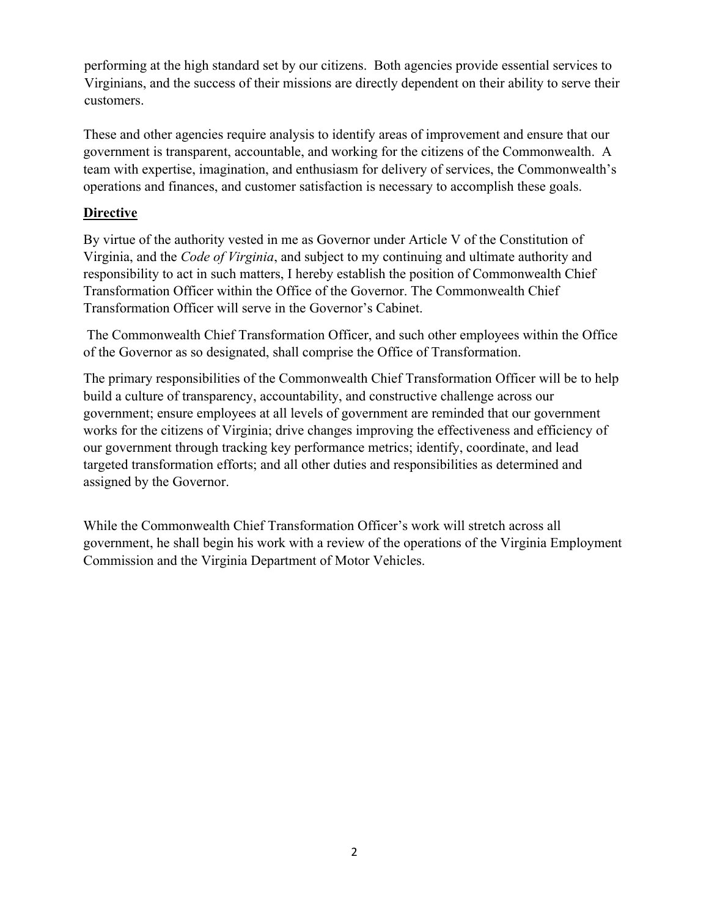performing at the high standard set by our citizens. Both agencies provide essential services to Virginians, and the success of their missions are directly dependent on their ability to serve their customers.

These and other agencies require analysis to identify areas of improvement and ensure that our government is transparent, accountable, and working for the citizens of the Commonwealth. A team with expertise, imagination, and enthusiasm for delivery of services, the Commonwealth's operations and finances, and customer satisfaction is necessary to accomplish these goals.

#### **Directive**

By virtue of the authority vested in me as Governor under Article V of the Constitution of Virginia, and the *Code of Virginia*, and subject to my continuing and ultimate authority and responsibility to act in such matters, I hereby establish the position of Commonwealth Chief Transformation Officer within the Office of the Governor. The Commonwealth Chief Transformation Officer will serve in the Governor's Cabinet.

The Commonwealth Chief Transformation Officer, and such other employees within the Office of the Governor as so designated, shall comprise the Office of Transformation.

The primary responsibilities of the Commonwealth Chief Transformation Officer will be to help build a culture of transparency, accountability, and constructive challenge across our government; ensure employees at all levels of government are reminded that our government works for the citizens of Virginia; drive changes improving the effectiveness and efficiency of our government through tracking key performance metrics; identify, coordinate, and lead targeted transformation efforts; and all other duties and responsibilities as determined and assigned by the Governor.

While the Commonwealth Chief Transformation Officer's work will stretch across all government, he shall begin his work with a review of the operations of the Virginia Employment Commission and the Virginia Department of Motor Vehicles.